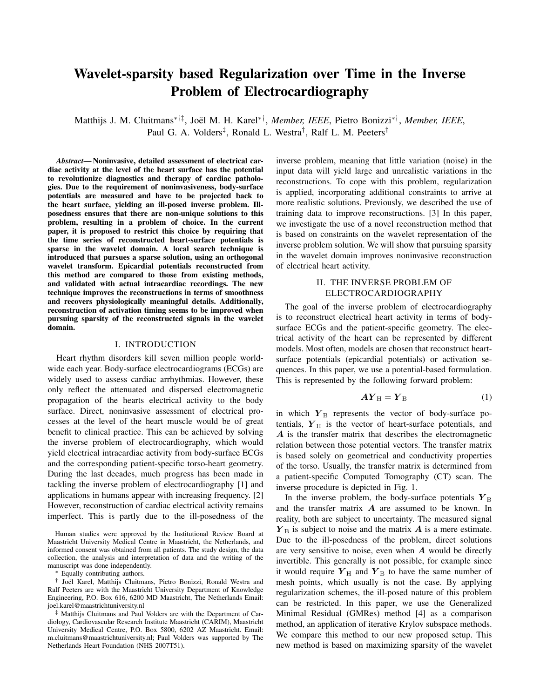# Wavelet-sparsity based Regularization over Time in the Inverse Problem of Electrocardiography

Matthijs J. M. Cluitmans<sup>\*†‡</sup>, Joël M. H. Karel<sup>\*†</sup>, *Member, IEEE*, Pietro Bonizzi<sup>\*†</sup>, *Member, IEEE*, Paul G. A. Volders<sup>‡</sup>, Ronald L. Westra<sup>†</sup>, Ralf L. M. Peeters<sup>†</sup>

*Abstract*— Noninvasive, detailed assessment of electrical cardiac activity at the level of the heart surface has the potential to revolutionize diagnostics and therapy of cardiac pathologies. Due to the requirement of noninvasiveness, body-surface potentials are measured and have to be projected back to the heart surface, yielding an ill-posed inverse problem. Illposedness ensures that there are non-unique solutions to this problem, resulting in a problem of choice. In the current paper, it is proposed to restrict this choice by requiring that the time series of reconstructed heart-surface potentials is sparse in the wavelet domain. A local search technique is introduced that pursues a sparse solution, using an orthogonal wavelet transform. Epicardial potentials reconstructed from this method are compared to those from existing methods, and validated with actual intracardiac recordings. The new technique improves the reconstructions in terms of smoothness and recovers physiologically meaningful details. Additionally, reconstruction of activation timing seems to be improved when pursuing sparsity of the reconstructed signals in the wavelet domain.

#### I. INTRODUCTION

Heart rhythm disorders kill seven million people worldwide each year. Body-surface electrocardiograms (ECGs) are widely used to assess cardiac arrhythmias. However, these only reflect the attenuated and dispersed electromagnetic propagation of the hearts electrical activity to the body surface. Direct, noninvasive assessment of electrical processes at the level of the heart muscle would be of great benefit to clinical practice. This can be achieved by solving the inverse problem of electrocardiography, which would yield electrical intracardiac activity from body-surface ECGs and the corresponding patient-specific torso-heart geometry. During the last decades, much progress has been made in tackling the inverse problem of electrocardiography [1] and applications in humans appear with increasing frequency. [2] However, reconstruction of cardiac electrical activity remains imperfect. This is partly due to the ill-posedness of the

Human studies were approved by the Institutional Review Board at Maastricht University Medical Centre in Maastricht, the Netherlands, and informed consent was obtained from all patients. The study design, the data collection, the analysis and interpretation of data and the writing of the manuscript was done independently.

Equally contributing authors.

<sup>†</sup> Joël Karel, Matthijs Cluitmans, Pietro Bonizzi, Ronald Westra and Ralf Peeters are with the Maastricht University Department of Knowledge Engineering, P.O. Box 616, 6200 MD Maastricht, The Netherlands Email: joel.karel@maastrichtuniversity.nl

‡ Matthijs Cluitmans and Paul Volders are with the Department of Cardiology, Cardiovascular Research Institute Maastricht (CARIM), Maastricht University Medical Centre, P.O. Box 5800, 6202 AZ Maastricht. Email: m.cluitmans@maastrichtuniversity.nl; Paul Volders was supported by The Netherlands Heart Foundation (NHS 2007T51).

inverse problem, meaning that little variation (noise) in the input data will yield large and unrealistic variations in the reconstructions. To cope with this problem, regularization is applied, incorporating additional constraints to arrive at more realistic solutions. Previously, we described the use of training data to improve reconstructions. [3] In this paper, we investigate the use of a novel reconstruction method that is based on constraints on the wavelet representation of the inverse problem solution. We will show that pursuing sparsity in the wavelet domain improves noninvasive reconstruction of electrical heart activity.

## II. THE INVERSE PROBLEM OF ELECTROCARDIOGRAPHY

The goal of the inverse problem of electrocardiography is to reconstruct electrical heart activity in terms of bodysurface ECGs and the patient-specific geometry. The electrical activity of the heart can be represented by different models. Most often, models are chosen that reconstruct heartsurface potentials (epicardial potentials) or activation sequences. In this paper, we use a potential-based formulation. This is represented by the following forward problem:

$$
AY_{\rm H} = Y_{\rm B} \tag{1}
$$

in which  $Y_{\text{B}}$  represents the vector of body-surface potentials,  $Y_H$  is the vector of heart-surface potentials, and A is the transfer matrix that describes the electromagnetic relation between those potential vectors. The transfer matrix is based solely on geometrical and conductivity properties of the torso. Usually, the transfer matrix is determined from a patient-specific Computed Tomography (CT) scan. The inverse procedure is depicted in Fig. 1.

In the inverse problem, the body-surface potentials  $Y_{\text{B}}$ and the transfer matrix  $\boldsymbol{A}$  are assumed to be known. In reality, both are subject to uncertainty. The measured signal  $Y_{\text{B}}$  is subject to noise and the matrix  $A$  is a mere estimate. Due to the ill-posedness of the problem, direct solutions are very sensitive to noise, even when  $A$  would be directly invertible. This generally is not possible, for example since it would require  $Y_H$  and  $Y_B$  to have the same number of mesh points, which usually is not the case. By applying regularization schemes, the ill-posed nature of this problem can be restricted. In this paper, we use the Generalized Minimal Residual (GMRes) method [4] as a comparison method, an application of iterative Krylov subspace methods. We compare this method to our new proposed setup. This new method is based on maximizing sparsity of the wavelet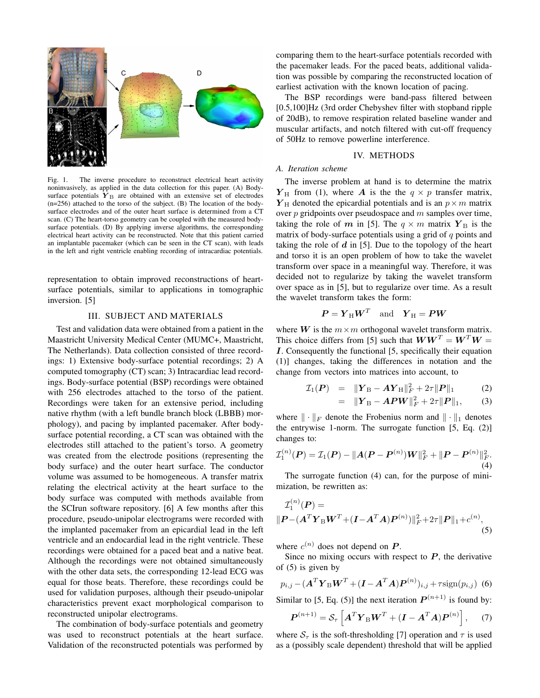

Fig. 1. The inverse procedure to reconstruct electrical heart activity noninvasively, as applied in the data collection for this paper. (A) Bodysurface potentials  $Y_{\rm B}$  are obtained with an extensive set of electrodes (n=256) attached to the torso of the subject. (B) The location of the bodysurface electrodes and of the outer heart surface is determined from a CT scan. (C) The heart-torso geometry can be coupled with the measured bodysurface potentials. (D) By applying inverse algorithms, the corresponding electrical heart activity can be reconstructed. Note that this patient carried an implantable pacemaker (which can be seen in the CT scan), with leads in the left and right ventricle enabling recording of intracardiac potentials.

representation to obtain improved reconstructions of heartsurface potentials, similar to applications in tomographic inversion. [5]

#### III. SUBJECT AND MATERIALS

Test and validation data were obtained from a patient in the Maastricht University Medical Center (MUMC+, Maastricht, The Netherlands). Data collection consisted of three recordings: 1) Extensive body-surface potential recordings; 2) A computed tomography (CT) scan; 3) Intracardiac lead recordings. Body-surface potential (BSP) recordings were obtained with 256 electrodes attached to the torso of the patient. Recordings were taken for an extensive period, including native rhythm (with a left bundle branch block (LBBB) morphology), and pacing by implanted pacemaker. After bodysurface potential recording, a CT scan was obtained with the electrodes still attached to the patient's torso. A geometry was created from the electrode positions (representing the body surface) and the outer heart surface. The conductor volume was assumed to be homogeneous. A transfer matrix relating the electrical activity at the heart surface to the body surface was computed with methods available from the SCIrun software repository. [6] A few months after this procedure, pseudo-unipolar electrograms were recorded with the implanted pacemaker from an epicardial lead in the left ventricle and an endocardial lead in the right ventricle. These recordings were obtained for a paced beat and a native beat. Although the recordings were not obtained simultaneously with the other data sets, the corresponding 12-lead ECG was equal for those beats. Therefore, these recordings could be used for validation purposes, although their pseudo-unipolar characteristics prevent exact morphological comparison to reconstructed unipolar electrograms.

The combination of body-surface potentials and geometry was used to reconstruct potentials at the heart surface. Validation of the reconstructed potentials was performed by comparing them to the heart-surface potentials recorded with the pacemaker leads. For the paced beats, additional validation was possible by comparing the reconstructed location of earliest activation with the known location of pacing.

The BSP recordings were band-pass filtered between [0.5,100]Hz (3rd order Chebyshev filter with stopband ripple of 20dB), to remove respiration related baseline wander and muscular artifacts, and notch filtered with cut-off frequency of 50Hz to remove powerline interference.

#### IV. METHODS

#### *A. Iteration scheme*

The inverse problem at hand is to determine the matrix  $Y_H$  from (1), where A is the the  $q \times p$  transfer matrix,  $Y_H$  denoted the epicardial potentials and is an  $p \times m$  matrix over  $p$  gridpoints over pseudospace and  $m$  samples over time, taking the role of m in [5]. The  $q \times m$  matrix  $Y_B$  is the matrix of body-surface potentials using a grid of  $q$  points and taking the role of  $d$  in [5]. Due to the topology of the heart and torso it is an open problem of how to take the wavelet transform over space in a meaningful way. Therefore, it was decided not to regularize by taking the wavelet transform over space as in [5], but to regularize over time. As a result the wavelet transform takes the form:

$$
P = Y_{\rm H} W^T \quad {\rm and} \quad Y_{\rm H} = PW
$$

where  $W$  is the  $m \times m$  orthogonal wavelet transform matrix. This choice differs from [5] such that  $WW^T = W^T W =$ I. Consequently the functional [5, specifically their equation (1)] changes, taking the differences in notation and the change from vectors into matrices into account, to

$$
\mathcal{I}_1(P) = \|Y_B - AY_H\|_F^2 + 2\tau \|P\|_1 \tag{2}
$$

$$
= \| \boldsymbol{Y}_{\text{B}} - \boldsymbol{A} \boldsymbol{P} \boldsymbol{W} \|_{F}^{2} + 2\tau \| \boldsymbol{P} \|_{1}, \qquad (3)
$$

where  $\|\cdot\|_F$  denote the Frobenius norm and  $\|\cdot\|_1$  denotes the entrywise 1-norm. The surrogate function [5, Eq. (2)] changes to:

$$
\mathcal{I}_1^{(n)}(\boldsymbol{P}) = \mathcal{I}_1(\boldsymbol{P}) - ||\boldsymbol{A}(\boldsymbol{P} - \boldsymbol{P}^{(n)})\boldsymbol{W}||_F^2 + ||\boldsymbol{P} - \boldsymbol{P}^{(n)}||_F^2.
$$
\n(4)

The surrogate function (4) can, for the purpose of minimization, be rewritten as:

$$
\mathcal{I}_1^{(n)}(\boldsymbol{P}) = \\
\|\boldsymbol{P} - (\boldsymbol{A}^T \boldsymbol{Y}_{\text{B}} \boldsymbol{W}^T + (\boldsymbol{I} - \boldsymbol{A}^T \boldsymbol{A}) \boldsymbol{P}^{(n)})\|_F^2 + 2\tau \|\boldsymbol{P}\|_1 + c^{(n)},\tag{5}
$$

where  $c^{(n)}$  does not depend on  $P$ .

Since no mixing occurs with respect to  $P$ , the derivative of (5) is given by

$$
p_{i,j} - (\boldsymbol{A}^T \boldsymbol{Y}_{\text{B}} \boldsymbol{W}^T + (\boldsymbol{I} - \boldsymbol{A}^T \boldsymbol{A}) \boldsymbol{P}^{(n)})_{i,j} + \tau \text{sign}(p_{i,j}) \tag{6}
$$

Similar to [5, Eq. (5)] the next iteration  $P^{(n+1)}$  is found by:

$$
\boldsymbol{P}^{(n+1)} = \mathcal{S}_{\tau} \left[ \boldsymbol{A}^T \boldsymbol{Y}_{\mathrm{B}} \boldsymbol{W}^T + (\boldsymbol{I} - \boldsymbol{A}^T \boldsymbol{A}) \boldsymbol{P}^{(n)} \right], \qquad (7)
$$

where  $S_{\tau}$  is the soft-thresholding [7] operation and  $\tau$  is used as a (possibly scale dependent) threshold that will be applied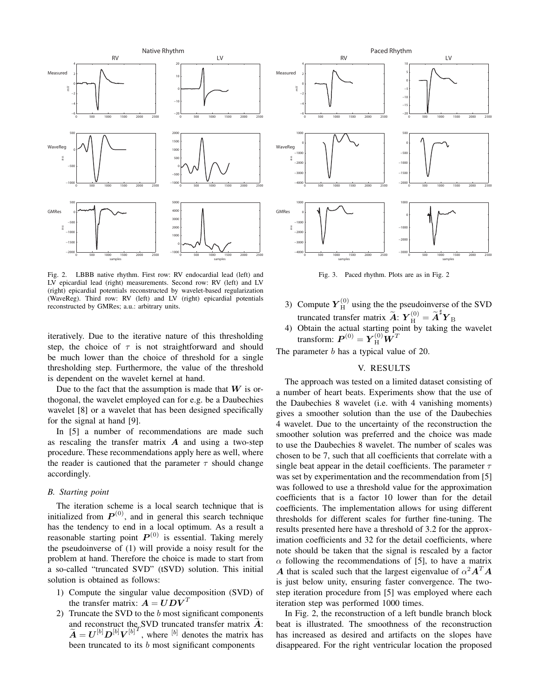

Fig. 2. LBBB native rhythm. First row: RV endocardial lead (left) and LV epicardial lead (right) measurements. Second row: RV (left) and LV (right) epicardial potentials reconstructed by wavelet-based regularization (WaveReg). Third row: RV (left) and LV (right) epicardial potentials reconstructed by GMRes; a.u.: arbitrary units.

iteratively. Due to the iterative nature of this thresholding step, the choice of  $\tau$  is not straightforward and should be much lower than the choice of threshold for a single thresholding step. Furthermore, the value of the threshold is dependent on the wavelet kernel at hand.

Due to the fact that the assumption is made that  $W$  is orthogonal, the wavelet employed can for e.g. be a Daubechies wavelet [8] or a wavelet that has been designed specifically for the signal at hand [9].

In [5] a number of recommendations are made such as rescaling the transfer matrix  $\boldsymbol{A}$  and using a two-step procedure. These recommendations apply here as well, where the reader is cautioned that the parameter  $\tau$  should change accordingly.

#### *B. Starting point*

The iteration scheme is a local search technique that is initialized from  $P^{(0)}$ , and in general this search technique has the tendency to end in a local optimum. As a result a reasonable starting point  $P^{(0)}$  is essential. Taking merely the pseudoinverse of (1) will provide a noisy result for the problem at hand. Therefore the choice is made to start from a so-called "truncated SVD" (tSVD) solution. This initial solution is obtained as follows:

- 1) Compute the singular value decomposition (SVD) of the transfer matrix:  $\mathbf{A} = \mathbf{U} \mathbf{D} \mathbf{V}^T$
- 2) Truncate the SVD to the  $b$  most significant components and reconstruct the SVD truncated transfer matrix  $\mathbf{A}$ :  $\widetilde{A} = U^{[b]} D^{[b]} V^{[b]}^T$ , where  $^{[b]}$  denotes the matrix has been truncated to its  $b$  most significant components



Fig. 3. Paced rhythm. Plots are as in Fig. 2

- 3) Compute  $Y_{\text{H}}^{(0)}$  using the the pseudoinverse of the SVD truncated transfer matrix  $\widetilde{A}$ :  $\boldsymbol{Y}_{\text{H}}^{(0)} = \widetilde{A}^{\sharp} \boldsymbol{Y}_{\text{B}}$
- 4) Obtain the actual starting point by taking the wavelet transform:  $\boldsymbol{P}^{(0)} = \boldsymbol{Y}_{\rm H}^{(0)} \boldsymbol{W}^T$

The parameter  $b$  has a typical value of 20.

### V. RESULTS

The approach was tested on a limited dataset consisting of a number of heart beats. Experiments show that the use of the Daubechies 8 wavelet (i.e. with 4 vanishing moments) gives a smoother solution than the use of the Daubechies 4 wavelet. Due to the uncertainty of the reconstruction the smoother solution was preferred and the choice was made to use the Daubechies 8 wavelet. The number of scales was chosen to be 7, such that all coefficients that correlate with a single beat appear in the detail coefficients. The parameter  $\tau$ was set by experimentation and the recommendation from [5] was followed to use a threshold value for the approximation coefficients that is a factor 10 lower than for the detail coefficients. The implementation allows for using different thresholds for different scales for further fine-tuning. The results presented here have a threshold of 3.2 for the approximation coefficients and 32 for the detail coefficients, where note should be taken that the signal is rescaled by a factor  $\alpha$  following the recommendations of [5], to have a matrix A that is scaled such that the largest eigenvalue of  $\alpha^2 A^T A$ is just below unity, ensuring faster convergence. The twostep iteration procedure from [5] was employed where each iteration step was performed 1000 times.

In Fig. 2, the reconstruction of a left bundle branch block beat is illustrated. The smoothness of the reconstruction has increased as desired and artifacts on the slopes have disappeared. For the right ventricular location the proposed